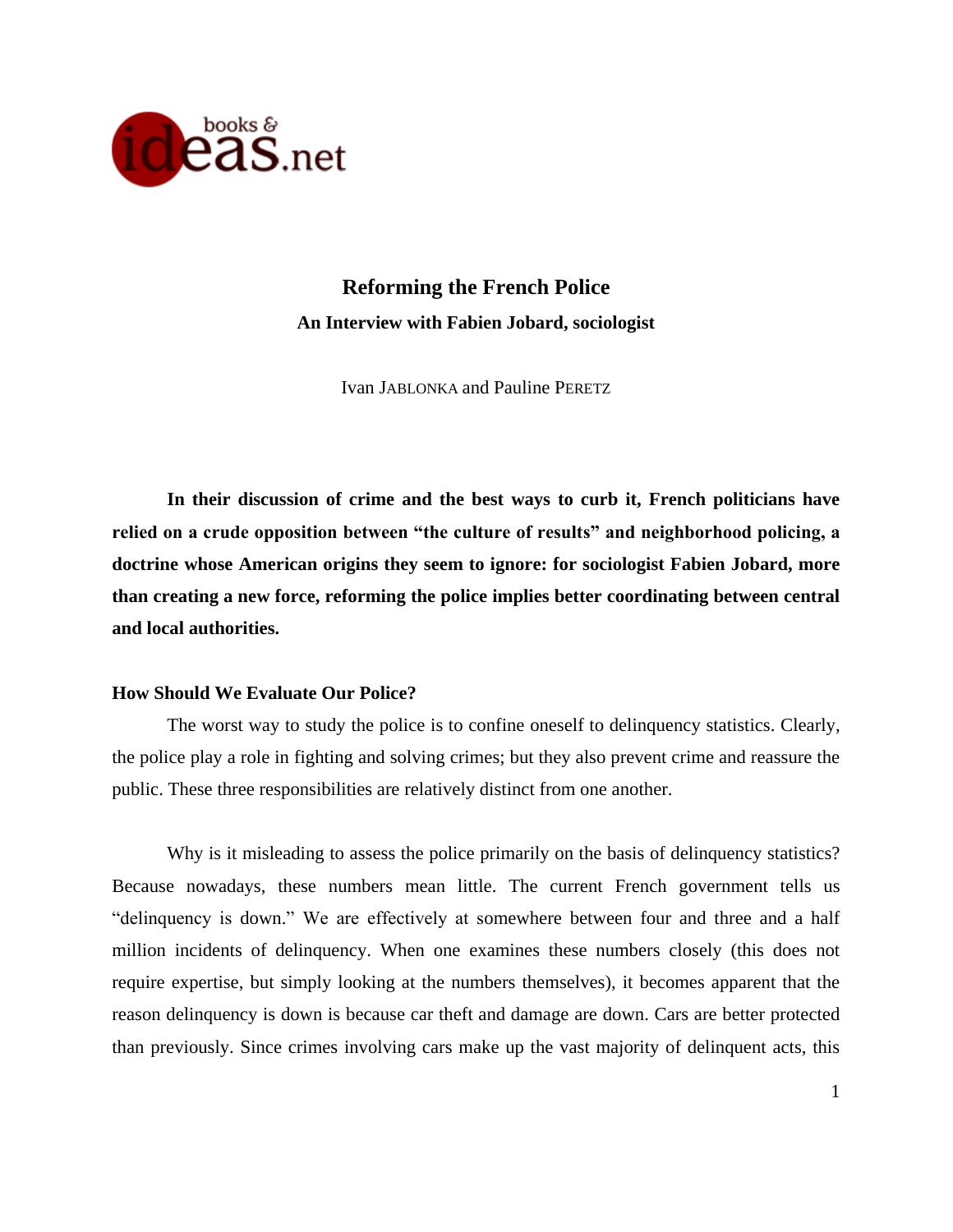

## **Reforming the French Police An Interview with Fabien Jobard, sociologist**

Ivan JABLONKA and Pauline PERETZ

**In their discussion of crime and the best ways to curb it, French politicians have relied on a crude opposition between "the culture of results" and neighborhood policing, a doctrine whose American origins they seem to ignore: for sociologist Fabien Jobard, more than creating a new force, reforming the police implies better coordinating between central and local authorities.**

## **How Should We Evaluate Our Police?**

The worst way to study the police is to confine oneself to delinquency statistics. Clearly, the police play a role in fighting and solving crimes; but they also prevent crime and reassure the public. These three responsibilities are relatively distinct from one another.

Why is it misleading to assess the police primarily on the basis of delinquency statistics? Because nowadays, these numbers mean little. The current French government tells us "delinquency is down." We are effectively at somewhere between four and three and a half million incidents of delinquency. When one examines these numbers closely (this does not require expertise, but simply looking at the numbers themselves), it becomes apparent that the reason delinquency is down is because car theft and damage are down. Cars are better protected than previously. Since crimes involving cars make up the vast majority of delinquent acts, this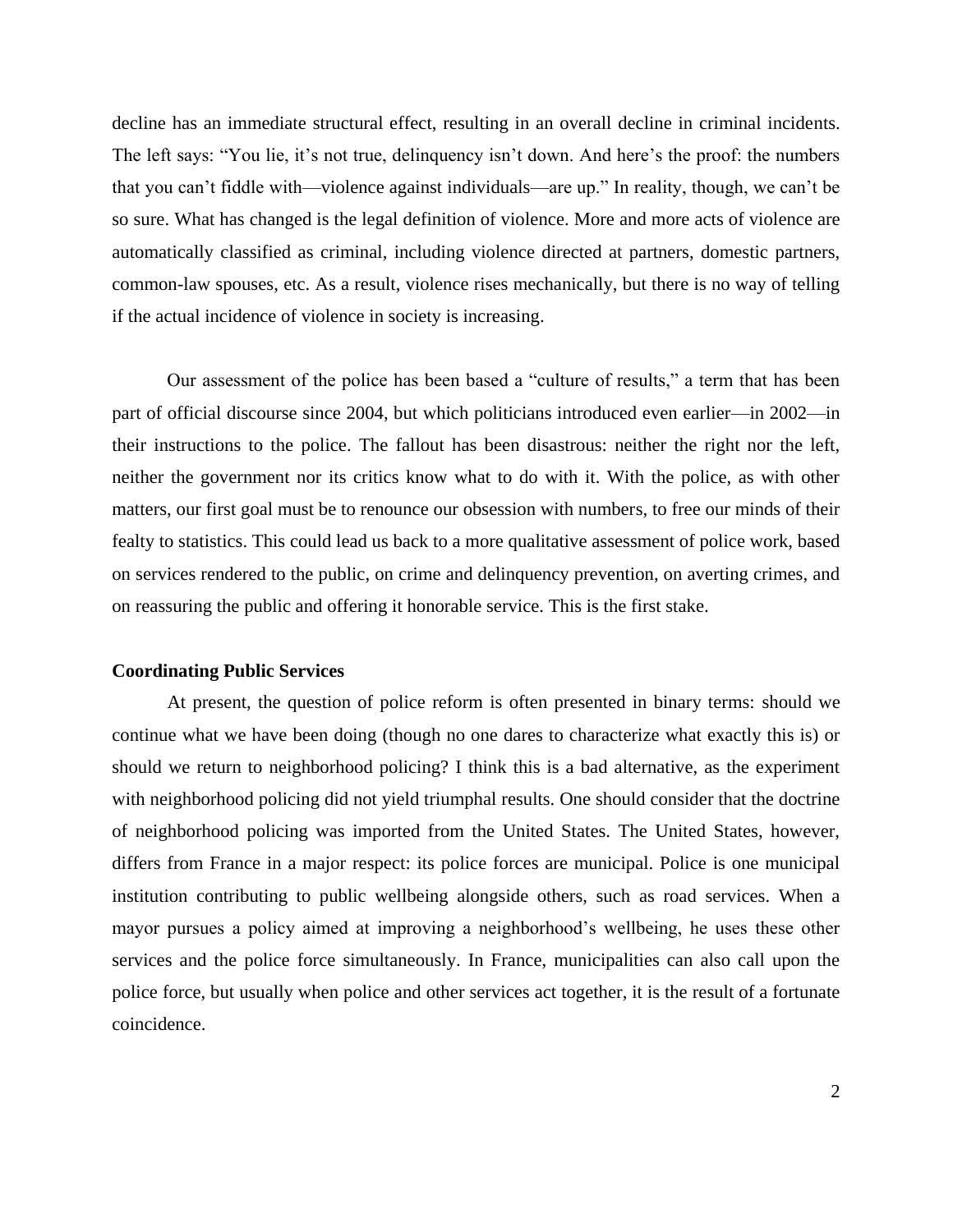decline has an immediate structural effect, resulting in an overall decline in criminal incidents. The left says: "You lie, it's not true, delinquency isn't down. And here's the proof: the numbers that you can't fiddle with—violence against individuals—are up." In reality, though, we can't be so sure. What has changed is the legal definition of violence. More and more acts of violence are automatically classified as criminal, including violence directed at partners, domestic partners, common-law spouses, etc. As a result, violence rises mechanically, but there is no way of telling if the actual incidence of violence in society is increasing.

Our assessment of the police has been based a "culture of results," a term that has been part of official discourse since 2004, but which politicians introduced even earlier—in 2002—in their instructions to the police. The fallout has been disastrous: neither the right nor the left, neither the government nor its critics know what to do with it. With the police, as with other matters, our first goal must be to renounce our obsession with numbers, to free our minds of their fealty to statistics. This could lead us back to a more qualitative assessment of police work, based on services rendered to the public, on crime and delinquency prevention, on averting crimes, and on reassuring the public and offering it honorable service. This is the first stake.

## **Coordinating Public Services**

At present, the question of police reform is often presented in binary terms: should we continue what we have been doing (though no one dares to characterize what exactly this is) or should we return to neighborhood policing? I think this is a bad alternative, as the experiment with neighborhood policing did not yield triumphal results. One should consider that the doctrine of neighborhood policing was imported from the United States. The United States, however, differs from France in a major respect: its police forces are municipal. Police is one municipal institution contributing to public wellbeing alongside others, such as road services. When a mayor pursues a policy aimed at improving a neighborhood's wellbeing, he uses these other services and the police force simultaneously. In France, municipalities can also call upon the police force, but usually when police and other services act together, it is the result of a fortunate coincidence.